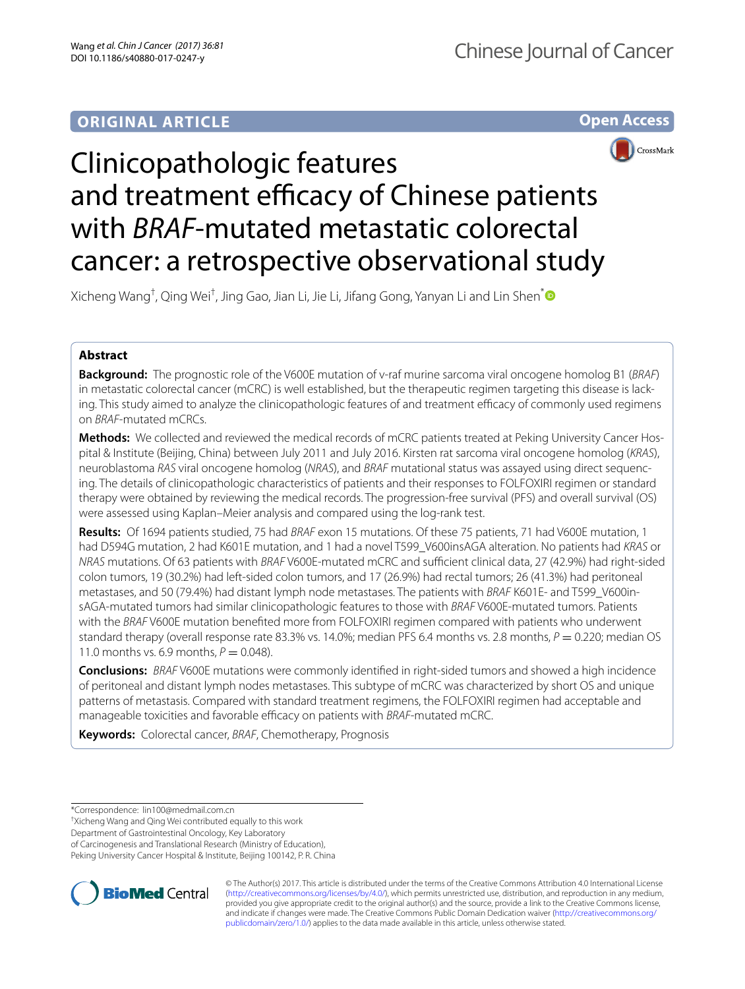# **ORIGINAL ARTICLE**





# Clinicopathologic features and treatment efficacy of Chinese patients with *BRAF*-mutated metastatic colorectal cancer: a retrospective observational study

Xicheng Wang<sup>†</sup>, Qing Wei<sup>†</sup>, Jing Gao, Jian Li, Jie Li, Jifang Gong, Yanyan Li and Lin Shen<sup>[\\*](http://orcid.org/0000-0002-1205-049X)</sup>

# **Abstract**

**Background:** The prognostic role of the V600E mutation of v-raf murine sarcoma viral oncogene homolog B1 (*BRAF*) in metastatic colorectal cancer (mCRC) is well established, but the therapeutic regimen targeting this disease is lacking. This study aimed to analyze the clinicopathologic features of and treatment efficacy of commonly used regimens on *BRAF*-mutated mCRCs.

**Methods:** We collected and reviewed the medical records of mCRC patients treated at Peking University Cancer Hospital & Institute (Beijing, China) between July 2011 and July 2016. Kirsten rat sarcoma viral oncogene homolog (*KRAS*), neuroblastoma *RAS* viral oncogene homolog (*NRAS*), and *BRAF* mutational status was assayed using direct sequencing. The details of clinicopathologic characteristics of patients and their responses to FOLFOXIRI regimen or standard therapy were obtained by reviewing the medical records. The progression-free survival (PFS) and overall survival (OS) were assessed using Kaplan–Meier analysis and compared using the log-rank test.

**Results:** Of 1694 patients studied, 75 had *BRAF* exon 15 mutations. Of these 75 patients, 71 had V600E mutation, 1 had D594G mutation, 2 had K601E mutation, and 1 had a novel T599\_V600insAGA alteration. No patients had *KRAS* or *NRAS* mutations. Of 63 patients with *BRAF* V600E-mutated mCRC and sufficient clinical data, 27 (42.9%) had right-sided colon tumors, 19 (30.2%) had left-sided colon tumors, and 17 (26.9%) had rectal tumors; 26 (41.3%) had peritoneal metastases, and 50 (79.4%) had distant lymph node metastases. The patients with *BRAF* K601E- and T599\_V600insAGA-mutated tumors had similar clinicopathologic features to those with *BRAF* V600E-mutated tumors. Patients with the *BRAF* V600E mutation benefted more from FOLFOXIRI regimen compared with patients who underwent standard therapy (overall response rate 83.3% vs. 14.0%; median PFS 6.4 months vs. 2.8 months,  $P = 0.220$ ; median OS 11.0 months vs. 6.9 months,  $P = 0.048$ ).

**Conclusions:** *BRAF* V600E mutations were commonly identifed in right-sided tumors and showed a high incidence of peritoneal and distant lymph nodes metastases. This subtype of mCRC was characterized by short OS and unique patterns of metastasis. Compared with standard treatment regimens, the FOLFOXIRI regimen had acceptable and manageable toxicities and favorable efficacy on patients with *BRAF*-mutated mCRC.

**Keywords:** Colorectal cancer, *BRAF*, Chemotherapy, Prognosis

† Xicheng Wang and Qing Wei contributed equally to this work

Department of Gastrointestinal Oncology, Key Laboratory

of Carcinogenesis and Translational Research (Ministry of Education), Peking University Cancer Hospital & Institute, Beijing 100142, P. R. China



© The Author(s) 2017. This article is distributed under the terms of the Creative Commons Attribution 4.0 International License [\(http://creativecommons.org/licenses/by/4.0/\)](http://creativecommons.org/licenses/by/4.0/), which permits unrestricted use, distribution, and reproduction in any medium, provided you give appropriate credit to the original author(s) and the source, provide a link to the Creative Commons license, and indicate if changes were made. The Creative Commons Public Domain Dedication waiver ([http://creativecommons.org/](http://creativecommons.org/publicdomain/zero/1.0/) [publicdomain/zero/1.0/](http://creativecommons.org/publicdomain/zero/1.0/)) applies to the data made available in this article, unless otherwise stated.

<sup>\*</sup>Correspondence: lin100@medmail.com.cn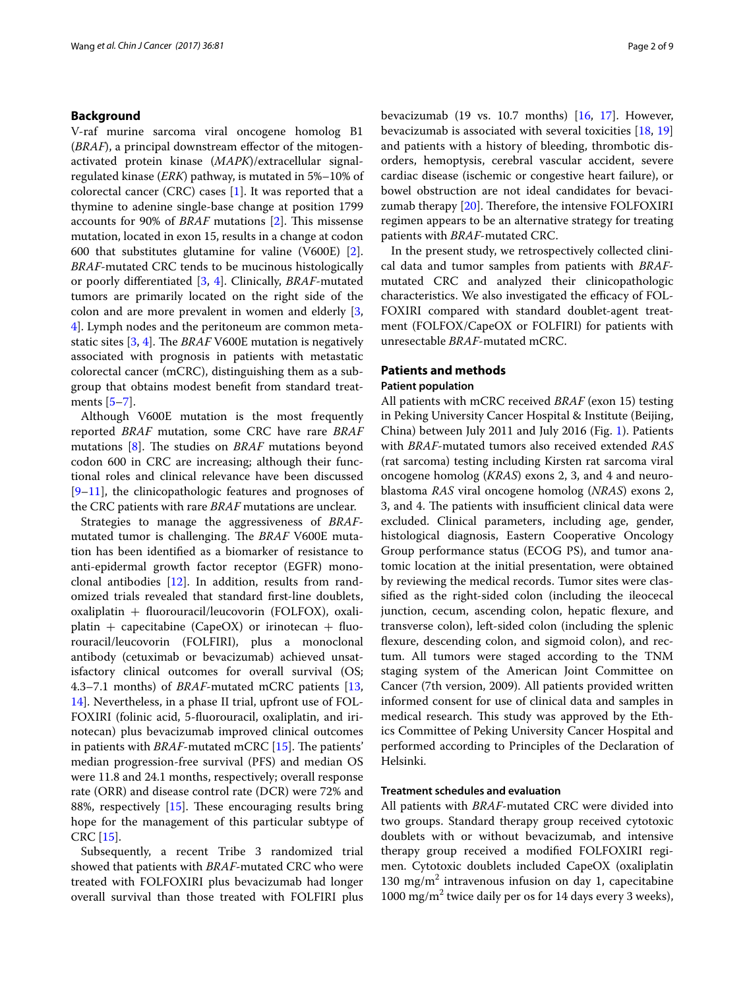#### **Background**

V-raf murine sarcoma viral oncogene homolog B1 (*BRAF*), a principal downstream effector of the mitogenactivated protein kinase (*MAPK*)/extracellular signalregulated kinase (*ERK*) pathway, is mutated in 5%–10% of colorectal cancer (CRC) cases [[1\]](#page-8-0). It was reported that a thymine to adenine single-base change at position 1799 accounts for 90% of *BRAF* mutations [\[2\]](#page-8-1). This missense mutation, located in exon 15, results in a change at codon 600 that substitutes glutamine for valine (V600E) [\[2](#page-8-1)]. *BRAF*-mutated CRC tends to be mucinous histologically or poorly diferentiated [[3](#page-8-2), [4](#page-8-3)]. Clinically, *BRAF*-mutated tumors are primarily located on the right side of the colon and are more prevalent in women and elderly [\[3](#page-8-2), [4\]](#page-8-3). Lymph nodes and the peritoneum are common meta-static sites [\[3](#page-8-2), [4\]](#page-8-3). The *BRAF* V600E mutation is negatively associated with prognosis in patients with metastatic colorectal cancer (mCRC), distinguishing them as a subgroup that obtains modest beneft from standard treatments [\[5](#page-8-4)[–7](#page-8-5)].

Although V600E mutation is the most frequently reported *BRAF* mutation, some CRC have rare *BRAF* mutations [\[8](#page-8-6)]. The studies on *BRAF* mutations beyond codon 600 in CRC are increasing; although their functional roles and clinical relevance have been discussed [[9–](#page-8-7)[11\]](#page-8-8), the clinicopathologic features and prognoses of the CRC patients with rare *BRAF* mutations are unclear.

Strategies to manage the aggressiveness of *BRAF*mutated tumor is challenging. The **BRAF** V600E mutation has been identifed as a biomarker of resistance to anti-epidermal growth factor receptor (EGFR) monoclonal antibodies [[12](#page-8-9)]. In addition, results from randomized trials revealed that standard frst-line doublets, oxaliplatin + fuorouracil/leucovorin (FOLFOX), oxaliplatin + capecitabine (CapeOX) or irinotecan + fluorouracil/leucovorin (FOLFIRI), plus a monoclonal antibody (cetuximab or bevacizumab) achieved unsatisfactory clinical outcomes for overall survival (OS; 4.3–7.1 months) of *BRAF*-mutated mCRC patients [\[13](#page-8-10), [14\]](#page-8-11). Nevertheless, in a phase II trial, upfront use of FOL-FOXIRI (folinic acid, 5-fuorouracil, oxaliplatin, and irinotecan) plus bevacizumab improved clinical outcomes in patients with *BRAF*-mutated mCRC [[15](#page-8-12)]. The patients' median progression-free survival (PFS) and median OS were 11.8 and 24.1 months, respectively; overall response rate (ORR) and disease control rate (DCR) were 72% and 88%, respectively  $[15]$  $[15]$ . These encouraging results bring hope for the management of this particular subtype of CRC [[15\]](#page-8-12).

Subsequently, a recent Tribe 3 randomized trial showed that patients with *BRAF*-mutated CRC who were treated with FOLFOXIRI plus bevacizumab had longer overall survival than those treated with FOLFIRI plus bevacizumab (19 vs. 10.7 months) [[16](#page-8-13), [17\]](#page-8-14). However, bevacizumab is associated with several toxicities [[18](#page-8-15), [19](#page-8-16)] and patients with a history of bleeding, thrombotic disorders, hemoptysis, cerebral vascular accident, severe cardiac disease (ischemic or congestive heart failure), or bowel obstruction are not ideal candidates for bevacizumab therapy  $[20]$  $[20]$ . Therefore, the intensive FOLFOXIRI regimen appears to be an alternative strategy for treating patients with *BRAF*-mutated CRC.

In the present study, we retrospectively collected clinical data and tumor samples from patients with *BRAF*mutated CRC and analyzed their clinicopathologic characteristics. We also investigated the efficacy of FOL-FOXIRI compared with standard doublet-agent treatment (FOLFOX/CapeOX or FOLFIRI) for patients with unresectable *BRAF*-mutated mCRC.

### **Patients and methods**

#### **Patient population**

All patients with mCRC received *BRAF* (exon 15) testing in Peking University Cancer Hospital & Institute (Beijing, China) between July 2011 and July 2016 (Fig. [1\)](#page-2-0). Patients with *BRAF*-mutated tumors also received extended *RAS* (rat sarcoma) testing including Kirsten rat sarcoma viral oncogene homolog (*KRAS*) exons 2, 3, and 4 and neuroblastoma *RAS* viral oncogene homolog (*NRAS*) exons 2, 3, and 4. The patients with insufficient clinical data were excluded. Clinical parameters, including age, gender, histological diagnosis, Eastern Cooperative Oncology Group performance status (ECOG PS), and tumor anatomic location at the initial presentation, were obtained by reviewing the medical records. Tumor sites were classifed as the right-sided colon (including the ileocecal junction, cecum, ascending colon, hepatic flexure, and transverse colon), left-sided colon (including the splenic fexure, descending colon, and sigmoid colon), and rectum. All tumors were staged according to the TNM staging system of the American Joint Committee on Cancer (7th version, 2009). All patients provided written informed consent for use of clinical data and samples in medical research. This study was approved by the Ethics Committee of Peking University Cancer Hospital and performed according to Principles of the Declaration of Helsinki.

## **Treatment schedules and evaluation**

All patients with *BRAF*-mutated CRC were divided into two groups. Standard therapy group received cytotoxic doublets with or without bevacizumab, and intensive therapy group received a modifed FOLFOXIRI regimen. Cytotoxic doublets included CapeOX (oxaliplatin 130  $mg/m<sup>2</sup>$  intravenous infusion on day 1, capecitabine 1000 mg/m<sup>2</sup> twice daily per os for 14 days every 3 weeks),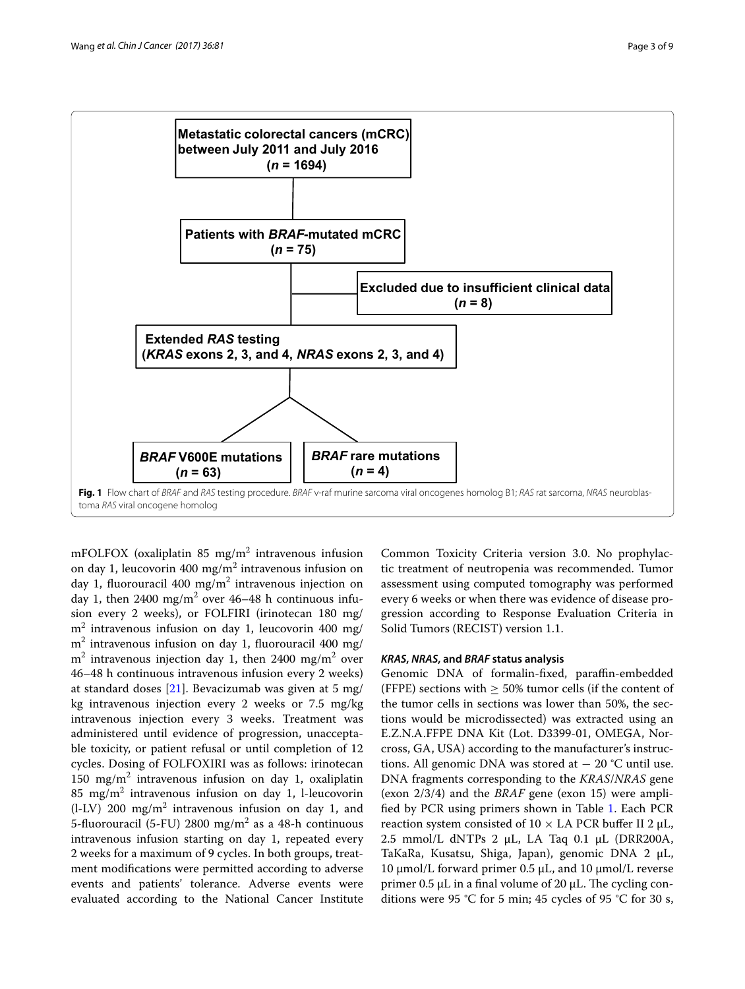

<span id="page-2-0"></span>mFOLFOX (oxaliplatin 85  $\mathrm{mg/m^{2}}$  intravenous infusion on day 1, leucovorin 400 mg/m $^2$  intravenous infusion on day 1, fluorouracil 400 mg/m<sup>2</sup> intravenous injection on day 1, then 2400 mg/m<sup>2</sup> over 46–48 h continuous infusion every 2 weeks), or FOLFIRI (irinotecan 180 mg/  $\rm m^2$  intravenous infusion on day 1, leucovorin 400 mg/  $\rm m^2$  intravenous infusion on day 1, fluorouracil 400 mg/  $\text{m}^2$  intravenous injection day 1, then 2400 mg/m $^2$  over 46–48 h continuous intravenous infusion every 2 weeks) at standard doses [\[21](#page-8-18)]. Bevacizumab was given at 5 mg/ kg intravenous injection every 2 weeks or 7.5 mg/kg intravenous injection every 3 weeks. Treatment was administered until evidence of progression, unacceptable toxicity, or patient refusal or until completion of 12 cycles. Dosing of FOLFOXIRI was as follows: irinotecan 150  $mg/m^2$  intravenous infusion on day 1, oxaliplatin  $85 \, \text{mg/m}^2$  intravenous infusion on day 1, l-leucovorin  $(l-LV)$  200 mg/m<sup>2</sup> intravenous infusion on day 1, and 5-fluorouracil (5-FU) 2800 mg/m $^2$  as a 48-h continuous intravenous infusion starting on day 1, repeated every 2 weeks for a maximum of 9 cycles. In both groups, treatment modifcations were permitted according to adverse events and patients' tolerance. Adverse events were evaluated according to the National Cancer Institute

Common Toxicity Criteria version 3.0. No prophylactic treatment of neutropenia was recommended. Tumor assessment using computed tomography was performed every 6 weeks or when there was evidence of disease progression according to Response Evaluation Criteria in Solid Tumors (RECIST) version 1.1.

#### *KRAS***,** *NRAS***, and** *BRAF* **status analysis**

Genomic DNA of formalin-fxed, parafn-embedded (FFPE) sections with  $\geq$  50% tumor cells (if the content of the tumor cells in sections was lower than 50%, the sections would be microdissected) was extracted using an E.Z.N.A.FFPE DNA Kit (Lot. D3399-01, OMEGA, Norcross, GA, USA) according to the manufacturer's instructions. All genomic DNA was stored at  $-20$  °C until use. DNA fragments corresponding to the *KRAS*/*NRAS* gene (exon 2/3/4) and the *BRAF* gene (exon 15) were amplifed by PCR using primers shown in Table [1](#page-3-0). Each PCR reaction system consisted of  $10 \times$  LA PCR buffer II 2  $\mu$ L,  $2.5$  mmol/L dNTPs  $2 \mu L$ , LA Taq 0.1  $\mu L$  (DRR200A, TaKaRa, Kusatsu, Shiga, Japan), genomic DNA 2 µL, 10 μmol/L forward primer 0.5 μL, and 10 μmol/L reverse primer  $0.5 \mu L$  in a final volume of 20  $\mu L$ . The cycling conditions were 95 °C for 5 min; 45 cycles of 95 °C for 30 s,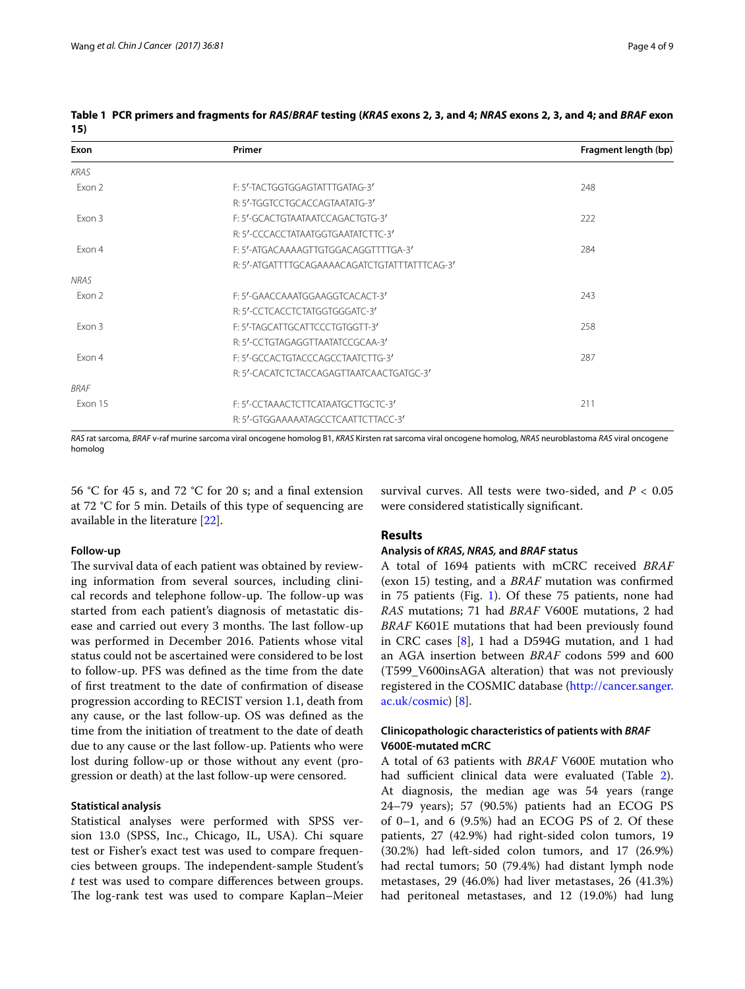| Exon        | Primer                                        | Fragment length (bp) |
|-------------|-----------------------------------------------|----------------------|
| <b>KRAS</b> |                                               |                      |
| Exon 2      | F: 5'-TACTGGTGGAGTATTTGATAG-3'                | 248                  |
|             | R: 5'-TGGTCCTGCACCAGTAATATG-3'                |                      |
| Exon 3      | F: 5'-GCACTGTAATAATCCAGACTGTG-3'              | 222                  |
|             | R: 5'-CCCACCTATAATGGTGAATATCTTC-3'            |                      |
| Exon 4      | F: 5'-ATGACAAAAGTTGTGGACAGGTTTTGA-3'          | 284                  |
|             | R: 5'-ATGATTTTGCAGAAAACAGATCTGTATTTATTTCAG-3' |                      |
| <b>NRAS</b> |                                               |                      |
| Exon 2      | F: 5'-GAACCAAATGGAAGGTCACACT-3'               | 243                  |
|             | R: 5'-CCTCACCTCTATGGTGGGATC-3'                |                      |
| Exon 3      | F: 5'-TAGCATTGCATTCCCTGTGGTT-3'               | 258                  |
|             | R: 5'-CCTGTAGAGGTTAATATCCGCAA-3'              |                      |
| Exon 4      | F: 5'-GCCACTGTACCCAGCCTAATCTTG-3'             | 287                  |
|             | R: 5'-CACATCTCTACCAGAGTTAATCAACTGATGC-3'      |                      |
| <b>BRAF</b> |                                               |                      |
| Fxon 15     | F: 5'-CCTAAACTCTTCATAATGCTTGCTC-3'            | 211                  |
|             | R: 5'-GTGGAAAAATAGCCTCAATTCTTACC-3'           |                      |

<span id="page-3-0"></span>**Table 1 PCR primers and fragments for** *RAS***/***BRAF* **testing (***KRAS* **exons 2, 3, and 4;** *NRAS* **exons 2, 3, and 4; and** *BRAF* **exon 15)**

*RAS* rat sarcoma, *BRAF* v-raf murine sarcoma viral oncogene homolog B1, *KRAS* Kirsten rat sarcoma viral oncogene homolog, *NRAS* neuroblastoma *RAS* viral oncogene homolog

56 °C for 45 s, and 72 °C for 20 s; and a fnal extension at 72 °C for 5 min. Details of this type of sequencing are available in the literature [\[22\]](#page-8-19).

#### **Follow‑up**

The survival data of each patient was obtained by reviewing information from several sources, including clinical records and telephone follow-up. The follow-up was started from each patient's diagnosis of metastatic disease and carried out every 3 months. The last follow-up was performed in December 2016. Patients whose vital status could not be ascertained were considered to be lost to follow-up. PFS was defned as the time from the date of frst treatment to the date of confrmation of disease progression according to RECIST version 1.1, death from any cause, or the last follow-up. OS was defned as the time from the initiation of treatment to the date of death due to any cause or the last follow-up. Patients who were lost during follow-up or those without any event (progression or death) at the last follow-up were censored.

#### **Statistical analysis**

Statistical analyses were performed with SPSS version 13.0 (SPSS, Inc., Chicago, IL, USA). Chi square test or Fisher's exact test was used to compare frequencies between groups. The independent-sample Student's *t* test was used to compare diferences between groups. The log-rank test was used to compare Kaplan–Meier

survival curves. All tests were two-sided, and  $P < 0.05$ were considered statistically signifcant.

#### **Results**

#### **Analysis of** *KRAS***,** *NRAS,* **and** *BRAF* **status**

A total of 1694 patients with mCRC received *BRAF* (exon 15) testing, and a *BRAF* mutation was confrmed in 75 patients (Fig. [1](#page-2-0)). Of these 75 patients, none had *RAS* mutations; 71 had *BRAF* V600E mutations, 2 had *BRAF* K601E mutations that had been previously found in CRC cases [[8](#page-8-6)], 1 had a D594G mutation, and 1 had an AGA insertion between *BRAF* codons 599 and 600 (T599\_V600insAGA alteration) that was not previously registered in the COSMIC database ([http://cancer.sanger.](http://cancer.sanger.ac.uk/cosmic) [ac.uk/cosmic](http://cancer.sanger.ac.uk/cosmic)) [[8\]](#page-8-6).

# **Clinicopathologic characteristics of patients with** *BRAF* **V600E‑mutated mCRC**

A total of 63 patients with *BRAF* V600E mutation who had sufficient clinical data were evaluated (Table [2](#page-4-0)). At diagnosis, the median age was 54 years (range 24–79 years); 57 (90.5%) patients had an ECOG PS of 0–1, and 6 (9.5%) had an ECOG PS of 2. Of these patients, 27 (42.9%) had right-sided colon tumors, 19 (30.2%) had left-sided colon tumors, and 17 (26.9%) had rectal tumors; 50 (79.4%) had distant lymph node metastases, 29 (46.0%) had liver metastases, 26 (41.3%) had peritoneal metastases, and 12 (19.0%) had lung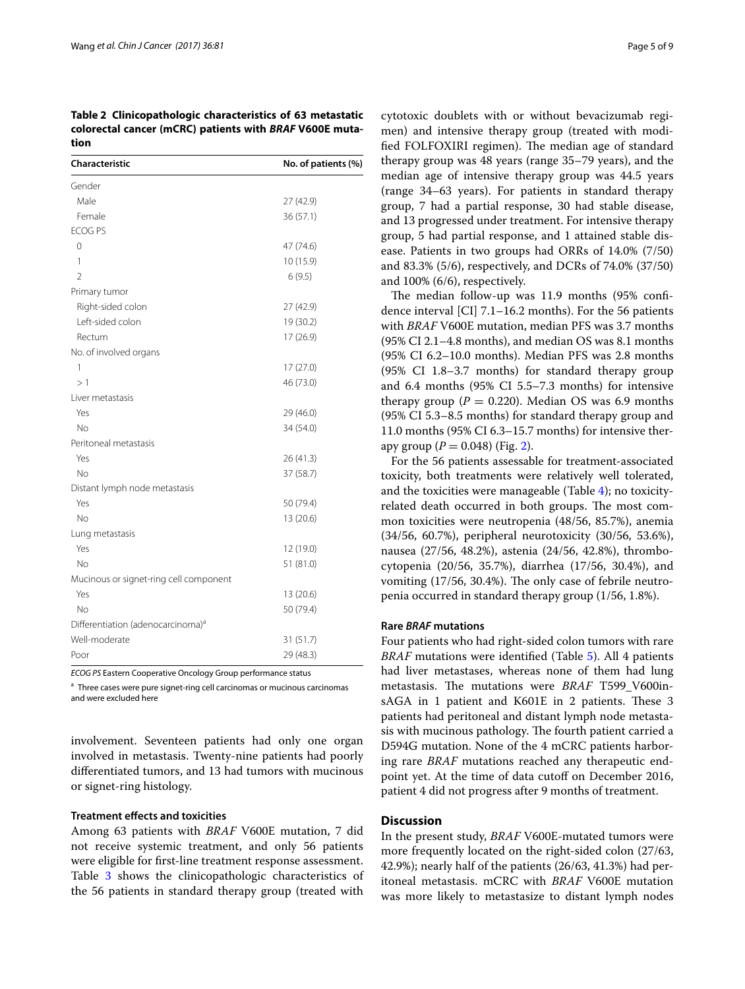<span id="page-4-0"></span>**Table 2 Clinicopathologic characteristics of 63 metastatic colorectal cancer (mCRC) patients with** *BRAF* **V600E mutation**

| Characteristic                                | No. of patients (%) |
|-----------------------------------------------|---------------------|
| Gender                                        |                     |
| Male                                          | 27 (42.9)           |
| Female                                        | 36 (57.1)           |
| <b>ECOG PS</b>                                |                     |
| 0                                             | 47 (74.6)           |
| 1                                             | 10 (15.9)           |
| $\overline{2}$                                | 6(9.5)              |
| Primary tumor                                 |                     |
| Right-sided colon                             | 27 (42.9)           |
| Left-sided colon                              | 19 (30.2)           |
| Rectum                                        | 17 (26.9)           |
| No. of involved organs                        |                     |
| 1                                             | 17(27.0)            |
| >1                                            | 46 (73.0)           |
| Liver metastasis                              |                     |
| Yes                                           | 29 (46.0)           |
| No                                            | 34 (54.0)           |
| Peritoneal metastasis                         |                     |
| Yes                                           | 26(41.3)            |
| <b>No</b>                                     | 37 (58.7)           |
| Distant lymph node metastasis                 |                     |
| Yes                                           | 50 (79.4)           |
| No                                            | 13 (20.6)           |
| Lung metastasis                               |                     |
| Yes                                           | 12 (19.0)           |
| N <sub>o</sub>                                | 51 (81.0)           |
| Mucinous or signet-ring cell component        |                     |
| Yes                                           | 13 (20.6)           |
| No                                            | 50 (79.4)           |
| Differentiation (adenocarcinoma) <sup>a</sup> |                     |
| Well-moderate                                 | 31(51.7)            |
| Poor                                          | 29 (48.3)           |

*ECOG PS* Eastern Cooperative Oncology Group performance status

<sup>a</sup> Three cases were pure signet-ring cell carcinomas or mucinous carcinomas and were excluded here

involvement. Seventeen patients had only one organ involved in metastasis. Twenty-nine patients had poorly diferentiated tumors, and 13 had tumors with mucinous or signet-ring histology.

#### **Treatment efects and toxicities**

Among 63 patients with *BRAF* V600E mutation, 7 did not receive systemic treatment, and only 56 patients were eligible for frst-line treatment response assessment. Table [3](#page-5-0) shows the clinicopathologic characteristics of the 56 patients in standard therapy group (treated with cytotoxic doublets with or without bevacizumab regimen) and intensive therapy group (treated with modified FOLFOXIRI regimen). The median age of standard therapy group was 48 years (range 35–79 years), and the median age of intensive therapy group was 44.5 years (range 34–63 years). For patients in standard therapy group, 7 had a partial response, 30 had stable disease, and 13 progressed under treatment. For intensive therapy group, 5 had partial response, and 1 attained stable disease. Patients in two groups had ORRs of 14.0% (7/50) and 83.3% (5/6), respectively, and DCRs of 74.0% (37/50) and 100% (6/6), respectively.

The median follow-up was 11.9 months (95% confidence interval [CI] 7.1–16.2 months). For the 56 patients with *BRAF* V600E mutation, median PFS was 3.7 months (95% CI 2.1–4.8 months), and median OS was 8.1 months (95% CI 6.2–10.0 months). Median PFS was 2.8 months (95% CI 1.8–3.7 months) for standard therapy group and 6.4 months (95% CI 5.5–7.3 months) for intensive therapy group ( $P = 0.220$ ). Median OS was 6.9 months (95% CI 5.3–8.5 months) for standard therapy group and 11.0 months (95% CI 6.3–15.7 months) for intensive therapy group  $(P = 0.048)$  (Fig. [2](#page-6-0)).

For the 56 patients assessable for treatment-associated toxicity, both treatments were relatively well tolerated, and the toxicities were manageable (Table [4](#page-6-1)); no toxicityrelated death occurred in both groups. The most common toxicities were neutropenia (48/56, 85.7%), anemia (34/56, 60.7%), peripheral neurotoxicity (30/56, 53.6%), nausea (27/56, 48.2%), astenia (24/56, 42.8%), thrombocytopenia (20/56, 35.7%), diarrhea (17/56, 30.4%), and vomiting (17/56, 30.4%). The only case of febrile neutropenia occurred in standard therapy group (1/56, 1.8%).

#### **Rare** *BRAF* **mutations**

Four patients who had right-sided colon tumors with rare *BRAF* mutations were identified (Table [5](#page-7-0)). All 4 patients had liver metastases, whereas none of them had lung metastasis. The mutations were *BRAF* T599\_V600insAGA in 1 patient and K601E in 2 patients. These 3 patients had peritoneal and distant lymph node metastasis with mucinous pathology. The fourth patient carried a D594G mutation. None of the 4 mCRC patients harboring rare *BRAF* mutations reached any therapeutic endpoint yet. At the time of data cutoff on December 2016, patient 4 did not progress after 9 months of treatment.

# **Discussion**

In the present study, *BRAF* V600E-mutated tumors were more frequently located on the right-sided colon (27/63, 42.9%); nearly half of the patients (26/63, 41.3%) had peritoneal metastasis. mCRC with *BRAF* V600E mutation was more likely to metastasize to distant lymph nodes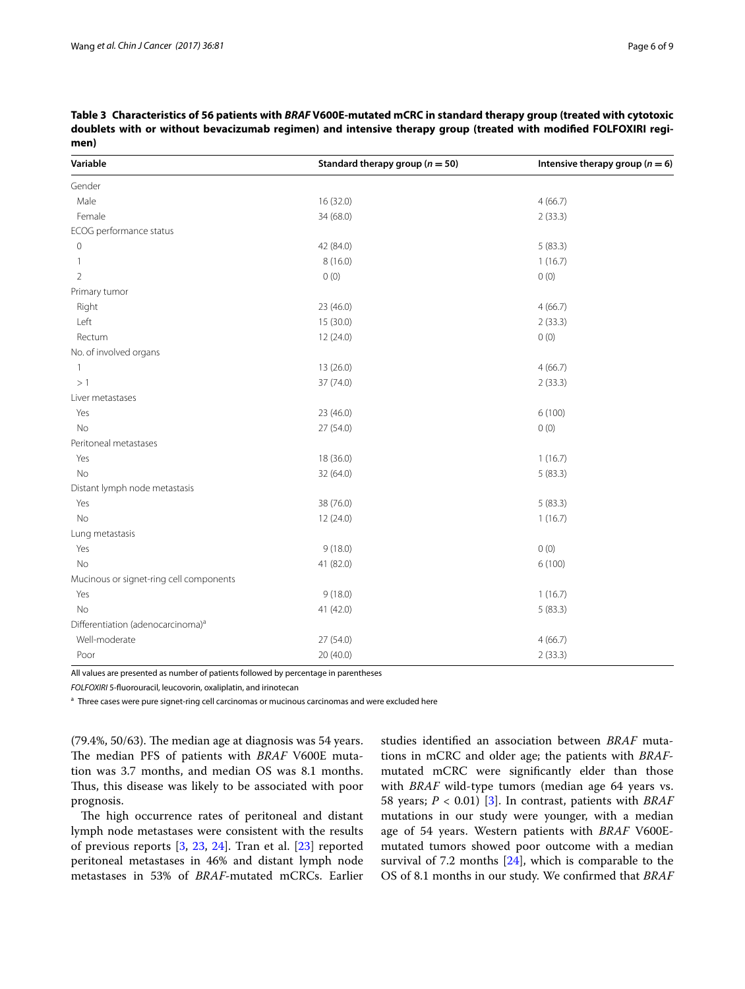| Variable                                      | Standard therapy group ( $n = 50$ ) | Intensive therapy group ( $n = 6$ ) |
|-----------------------------------------------|-------------------------------------|-------------------------------------|
| Gender                                        |                                     |                                     |
| Male                                          | 16 (32.0)                           | 4(66.7)                             |
| Female                                        | 34 (68.0)                           | 2(33.3)                             |
| ECOG performance status                       |                                     |                                     |
| $\circ$                                       | 42 (84.0)                           | 5(83.3)                             |
| $\mathbf{1}$                                  | 8(16.0)                             | 1(16.7)                             |
| $\overline{2}$                                | 0(0)                                | 0(0)                                |
| Primary tumor                                 |                                     |                                     |
| Right                                         | 23(46.0)                            | 4(66.7)                             |
| Left                                          | 15(30.0)                            | 2(33.3)                             |
| Rectum                                        | 12 (24.0)                           | 0(0)                                |
| No. of involved organs                        |                                     |                                     |
| $\mathbf{1}$                                  | 13 (26.0)                           | 4(66.7)                             |
| >1                                            | 37 (74.0)                           | 2(33.3)                             |
| Liver metastases                              |                                     |                                     |
| Yes                                           | 23 (46.0)                           | 6 (100)                             |
| No                                            | 27 (54.0)                           | 0(0)                                |
| Peritoneal metastases                         |                                     |                                     |
| Yes                                           | 18 (36.0)                           | 1(16.7)                             |
| No                                            | 32 (64.0)                           | 5(83.3)                             |
| Distant lymph node metastasis                 |                                     |                                     |
| Yes                                           | 38 (76.0)                           | 5(83.3)                             |
| No                                            | 12 (24.0)                           | 1(16.7)                             |
| Lung metastasis                               |                                     |                                     |
| Yes                                           | 9(18.0)                             | 0(0)                                |
| No                                            | 41 (82.0)                           | 6(100)                              |
| Mucinous or signet-ring cell components       |                                     |                                     |
| Yes                                           | 9(18.0)                             | 1(16.7)                             |
| No                                            | 41 (42.0)                           | 5(83.3)                             |
| Differentiation (adenocarcinoma) <sup>a</sup> |                                     |                                     |
| Well-moderate                                 | 27 (54.0)                           | 4(66.7)                             |
| Poor                                          | 20(40.0)                            | 2(33.3)                             |

<span id="page-5-0"></span>**Table 3 Characteristics of 56 patients with** *BRAF* **V600E-mutated mCRC in standard therapy group (treated with cytotoxic doublets with or without bevacizumab regimen) and intensive therapy group (treated with modifed FOLFOXIRI regimen)**

All values are presented as number of patients followed by percentage in parentheses

*FOLFOXIRI* 5-fuorouracil, leucovorin, oxaliplatin, and irinotecan

<sup>a</sup> Three cases were pure signet-ring cell carcinomas or mucinous carcinomas and were excluded here

 $(79.4\%, 50/63)$ . The median age at diagnosis was 54 years. The median PFS of patients with *BRAF* V600E mutation was 3.7 months, and median OS was 8.1 months. Thus, this disease was likely to be associated with poor prognosis.

The high occurrence rates of peritoneal and distant lymph node metastases were consistent with the results of previous reports [\[3](#page-8-2), [23,](#page-8-20) [24](#page-8-21)]. Tran et al. [\[23](#page-8-20)] reported peritoneal metastases in 46% and distant lymph node metastases in 53% of *BRAF*-mutated mCRCs. Earlier studies identifed an association between *BRAF* mutations in mCRC and older age; the patients with *BRAF*mutated mCRC were signifcantly elder than those with *BRAF* wild-type tumors (median age 64 years vs. 58 years;  $P < 0.01$ ) [\[3](#page-8-2)]. In contrast, patients with *BRAF* mutations in our study were younger, with a median age of 54 years. Western patients with *BRAF* V600Emutated tumors showed poor outcome with a median survival of 7.2 months [\[24](#page-8-21)], which is comparable to the OS of 8.1 months in our study. We confrmed that *BRAF*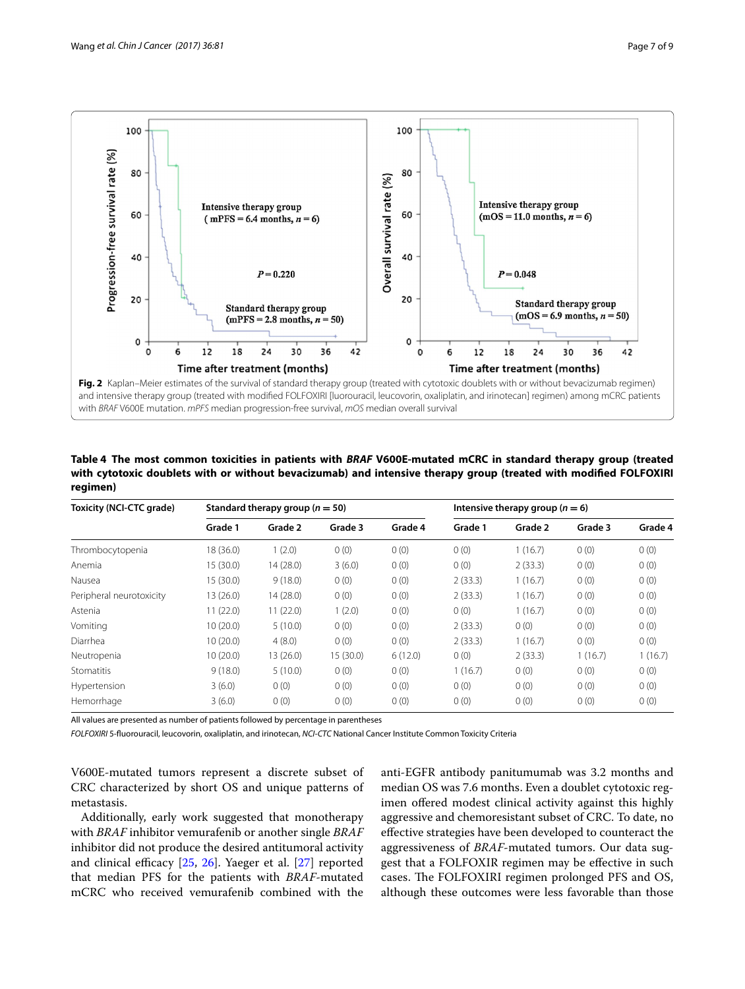

<span id="page-6-1"></span><span id="page-6-0"></span>**Table 4 The most common toxicities in patients with**  *BRAF* **V600E-mutated mCRC in standard therapy group (treated with cytotoxic doublets with or without bevacizumab) and intensive therapy group (treated with modifed FOLFOXIRI regimen)**

| Toxicity (NCI-CTC grade) | Standard therapy group ( $n = 50$ ) |           |           |         | Intensive therapy group ( $n = 6$ ) |         |         |         |
|--------------------------|-------------------------------------|-----------|-----------|---------|-------------------------------------|---------|---------|---------|
|                          | Grade 1                             | Grade 2   | Grade 3   | Grade 4 | Grade 1                             | Grade 2 | Grade 3 | Grade 4 |
| Thrombocytopenia         | 18 (36.0)                           | 1(2.0)    | 0(0)      | 0(0)    | 0(0)                                | 1(16.7) | 0(0)    | 0(0)    |
| Anemia                   | 15(30.0)                            | 14 (28.0) | 3(6.0)    | 0(0)    | 0(0)                                | 2(33.3) | 0(0)    | 0(0)    |
| Nausea                   | 15(30.0)                            | 9(18.0)   | 0(0)      | 0(0)    | 2(33.3)                             | 1(16.7) | 0(0)    | 0(0)    |
| Peripheral neurotoxicity | 13(26.0)                            | 14 (28.0) | 0(0)      | 0(0)    | 2(33.3)                             | 1(16.7) | 0(0)    | 0(0)    |
| Astenia                  | 11(22.0)                            | 11(22.0)  | 1(2.0)    | 0(0)    | 0(0)                                | 1(16.7) | 0(0)    | 0(0)    |
| Vomiting                 | 10(20.0)                            | 5(10.0)   | 0(0)      | 0(0)    | 2(33.3)                             | 0(0)    | 0(0)    | 0(0)    |
| Diarrhea                 | 10(20.0)                            | 4(8.0)    | 0(0)      | 0(0)    | 2(33.3)                             | 1(16.7) | 0(0)    | 0(0)    |
| Neutropenia              | 10(20.0)                            | 13 (26.0) | 15 (30.0) | 6(12.0) | 0(0)                                | 2(33.3) | 1(16.7) | 1(16.7) |
| <b>Stomatitis</b>        | 9(18.0)                             | 5(10.0)   | 0(0)      | 0(0)    | 1(16.7)                             | 0(0)    | 0(0)    | 0(0)    |
| Hypertension             | 3(6.0)                              | 0(0)      | 0(0)      | 0(0)    | 0(0)                                | 0(0)    | 0(0)    | 0(0)    |
| Hemorrhage               | 3(6.0)                              | 0(0)      | 0(0)      | 0(0)    | 0(0)                                | 0(0)    | 0(0)    | 0(0)    |

All values are presented as number of patients followed by percentage in parentheses

*FOLFOXIRI* 5-fuorouracil, leucovorin, oxaliplatin, and irinotecan, *NCI-CTC* National Cancer Institute Common Toxicity Criteria

V600E-mutated tumors represent a discrete subset of CRC characterized by short OS and unique patterns of metastasis.

Additionally, early work suggested that monotherapy with *BRAF* inhibitor vemurafenib or another single *BRAF* inhibitor did not produce the desired antitumoral activity and clinical efficacy  $[25, 26]$  $[25, 26]$  $[25, 26]$  $[25, 26]$  $[25, 26]$ . Yaeger et al.  $[27]$  $[27]$  reported that median PFS for the patients with *BRAF*-mutated mCRC who received vemurafenib combined with the

anti-EGFR antibody panitumumab was 3.2 months and median OS was 7.6 months. Even a doublet cytotoxic regimen offered modest clinical activity against this highly aggressive and chemoresistant subset of CRC. To date, no efective strategies have been developed to counteract the aggressiveness of *BRAF*-mutated tumors. Our data suggest that a FOLFOXIR regimen may be efective in such cases. The FOLFOXIRI regimen prolonged PFS and OS, although these outcomes were less favorable than those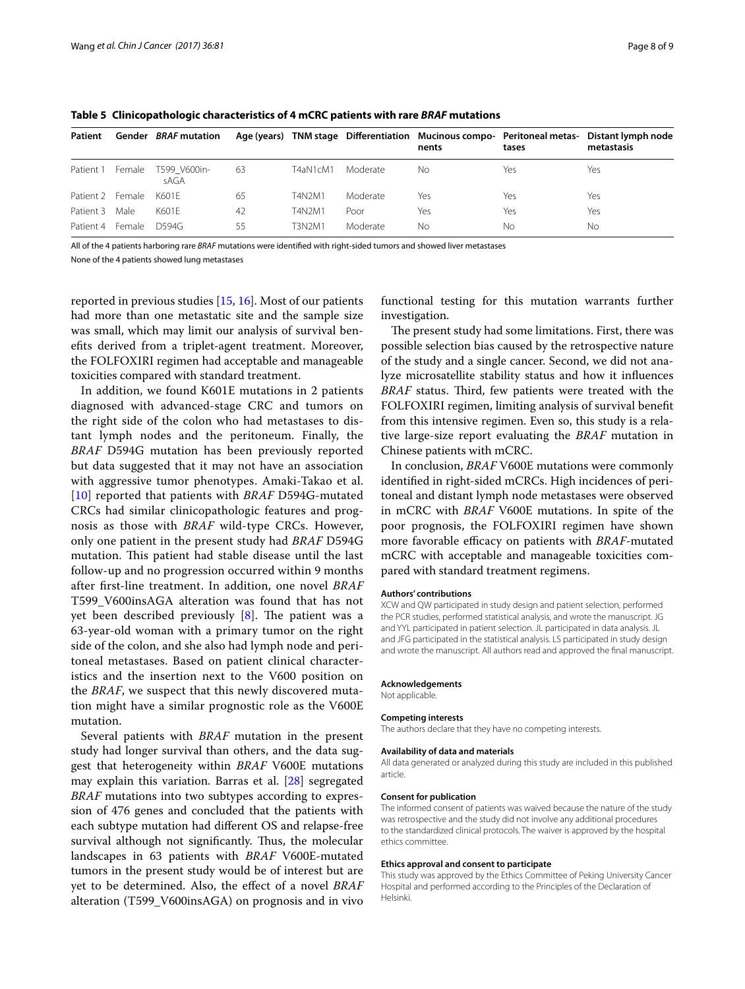| Patient   |        | Gender BRAF mutation |    |          |          |       |       | Age (years) TNM stage Differentiation Mucinous compo- Peritoneal metas- Distant lymph node |
|-----------|--------|----------------------|----|----------|----------|-------|-------|--------------------------------------------------------------------------------------------|
|           |        |                      |    |          |          | nents | tases | metastasis                                                                                 |
| Patient 1 | Female | T599 V600in-<br>sAGA | 63 | T4aN1cM1 | Moderate | No.   | Yes   | Yes                                                                                        |
| Patient 2 | Female | K601F                | 65 | T4N2M1   | Moderate | Yes   | Yes   | Yes                                                                                        |
| Patient 3 | Male   | K601F                | 42 | T4N2M1   | Poor     | Yes   | Yes   | Yes                                                                                        |
| Patient 4 | Female | D594G                | 55 | T3N2M1   | Moderate | Nο    | No    | No                                                                                         |

<span id="page-7-0"></span>**Table 5 Clinicopathologic characteristics of 4 mCRC patients with rare** *BRAF* **mutations**

All of the 4 patients harboring rare *BRAF* mutations were identifed with right-sided tumors and showed liver metastases

None of the 4 patients showed lung metastases

reported in previous studies [\[15,](#page-8-12) [16](#page-8-13)]. Most of our patients had more than one metastatic site and the sample size was small, which may limit our analysis of survival benefts derived from a triplet-agent treatment. Moreover, the FOLFOXIRI regimen had acceptable and manageable toxicities compared with standard treatment.

In addition, we found K601E mutations in 2 patients diagnosed with advanced-stage CRC and tumors on the right side of the colon who had metastases to distant lymph nodes and the peritoneum. Finally, the *BRAF* D594G mutation has been previously reported but data suggested that it may not have an association with aggressive tumor phenotypes. Amaki-Takao et al. [[10](#page-8-25)] reported that patients with *BRAF* D594G-mutated CRCs had similar clinicopathologic features and prognosis as those with *BRAF* wild-type CRCs. However, only one patient in the present study had *BRAF* D594G mutation. This patient had stable disease until the last follow-up and no progression occurred within 9 months after frst-line treatment. In addition, one novel *BRAF* T599\_V600insAGA alteration was found that has not yet been described previously  $[8]$  $[8]$ . The patient was a 63-year-old woman with a primary tumor on the right side of the colon, and she also had lymph node and peritoneal metastases. Based on patient clinical characteristics and the insertion next to the V600 position on the *BRAF*, we suspect that this newly discovered mutation might have a similar prognostic role as the V600E mutation.

Several patients with *BRAF* mutation in the present study had longer survival than others, and the data suggest that heterogeneity within *BRAF* V600E mutations may explain this variation. Barras et al. [\[28](#page-8-26)] segregated *BRAF* mutations into two subtypes according to expression of 476 genes and concluded that the patients with each subtype mutation had diferent OS and relapse-free survival although not significantly. Thus, the molecular landscapes in 63 patients with *BRAF* V600E-mutated tumors in the present study would be of interest but are yet to be determined. Also, the efect of a novel *BRAF* alteration (T599\_V600insAGA) on prognosis and in vivo functional testing for this mutation warrants further investigation.

The present study had some limitations. First, there was possible selection bias caused by the retrospective nature of the study and a single cancer. Second, we did not analyze microsatellite stability status and how it infuences *BRAF* status. Third, few patients were treated with the FOLFOXIRI regimen, limiting analysis of survival beneft from this intensive regimen. Even so, this study is a relative large-size report evaluating the *BRAF* mutation in Chinese patients with mCRC.

In conclusion, *BRAF* V600E mutations were commonly identifed in right-sided mCRCs. High incidences of peritoneal and distant lymph node metastases were observed in mCRC with *BRAF* V600E mutations. In spite of the poor prognosis, the FOLFOXIRI regimen have shown more favorable efficacy on patients with *BRAF*-mutated mCRC with acceptable and manageable toxicities compared with standard treatment regimens.

#### **Authors' contributions**

XCW and QW participated in study design and patient selection, performed the PCR studies, performed statistical analysis, and wrote the manuscript. JG and YYL participated in patient selection. JL participated in data analysis. JL and JFG participated in the statistical analysis. LS participated in study design and wrote the manuscript. All authors read and approved the fnal manuscript.

#### **Acknowledgements**

Not applicable.

#### **Competing interests**

The authors declare that they have no competing interests.

#### **Availability of data and materials**

All data generated or analyzed during this study are included in this published article.

#### **Consent for publication**

The informed consent of patients was waived because the nature of the study was retrospective and the study did not involve any additional procedures to the standardized clinical protocols. The waiver is approved by the hospital ethics committee.

#### **Ethics approval and consent to participate**

This study was approved by the Ethics Committee of Peking University Cancer Hospital and performed according to the Principles of the Declaration of Helsinki.